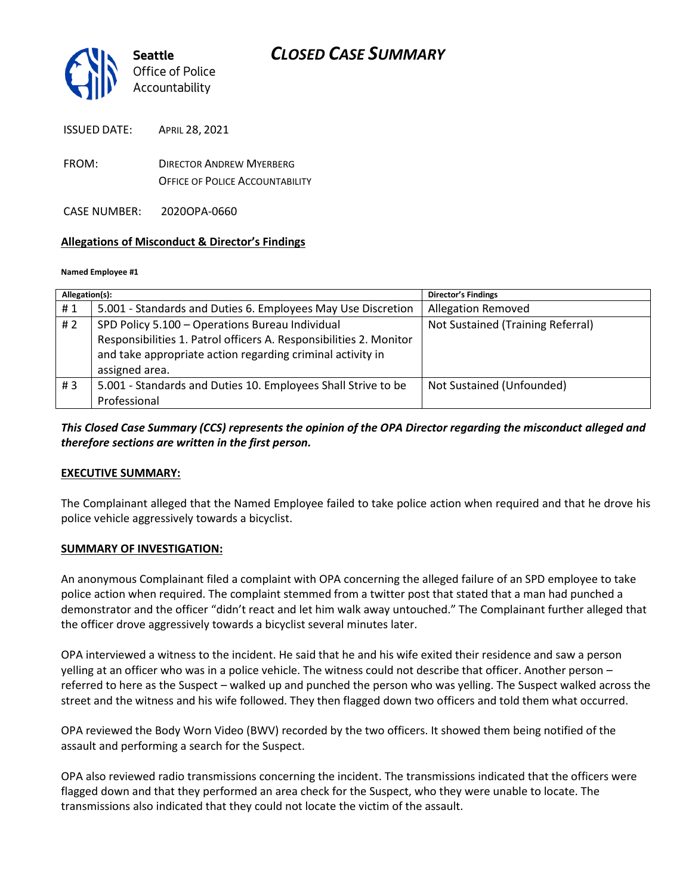

ISSUED DATE: APRIL 28, 2021

FROM: DIRECTOR ANDREW MYERBERG OFFICE OF POLICE ACCOUNTABILITY

CASE NUMBER: 2020OPA-0660

#### **Allegations of Misconduct & Director's Findings**

#### **Named Employee #1**

| Allegation(s): |                                                                    | <b>Director's Findings</b>        |
|----------------|--------------------------------------------------------------------|-----------------------------------|
| #1             | 5.001 - Standards and Duties 6. Employees May Use Discretion       | <b>Allegation Removed</b>         |
| # 2            | SPD Policy 5.100 - Operations Bureau Individual                    | Not Sustained (Training Referral) |
|                | Responsibilities 1. Patrol officers A. Responsibilities 2. Monitor |                                   |
|                | and take appropriate action regarding criminal activity in         |                                   |
|                | assigned area.                                                     |                                   |
| #3             | 5.001 - Standards and Duties 10. Employees Shall Strive to be      | Not Sustained (Unfounded)         |
|                | Professional                                                       |                                   |

#### *This Closed Case Summary (CCS) represents the opinion of the OPA Director regarding the misconduct alleged and therefore sections are written in the first person.*

#### **EXECUTIVE SUMMARY:**

The Complainant alleged that the Named Employee failed to take police action when required and that he drove his police vehicle aggressively towards a bicyclist.

#### **SUMMARY OF INVESTIGATION:**

An anonymous Complainant filed a complaint with OPA concerning the alleged failure of an SPD employee to take police action when required. The complaint stemmed from a twitter post that stated that a man had punched a demonstrator and the officer "didn't react and let him walk away untouched." The Complainant further alleged that the officer drove aggressively towards a bicyclist several minutes later.

OPA interviewed a witness to the incident. He said that he and his wife exited their residence and saw a person yelling at an officer who was in a police vehicle. The witness could not describe that officer. Another person – referred to here as the Suspect – walked up and punched the person who was yelling. The Suspect walked across the street and the witness and his wife followed. They then flagged down two officers and told them what occurred.

OPA reviewed the Body Worn Video (BWV) recorded by the two officers. It showed them being notified of the assault and performing a search for the Suspect.

OPA also reviewed radio transmissions concerning the incident. The transmissions indicated that the officers were flagged down and that they performed an area check for the Suspect, who they were unable to locate. The transmissions also indicated that they could not locate the victim of the assault.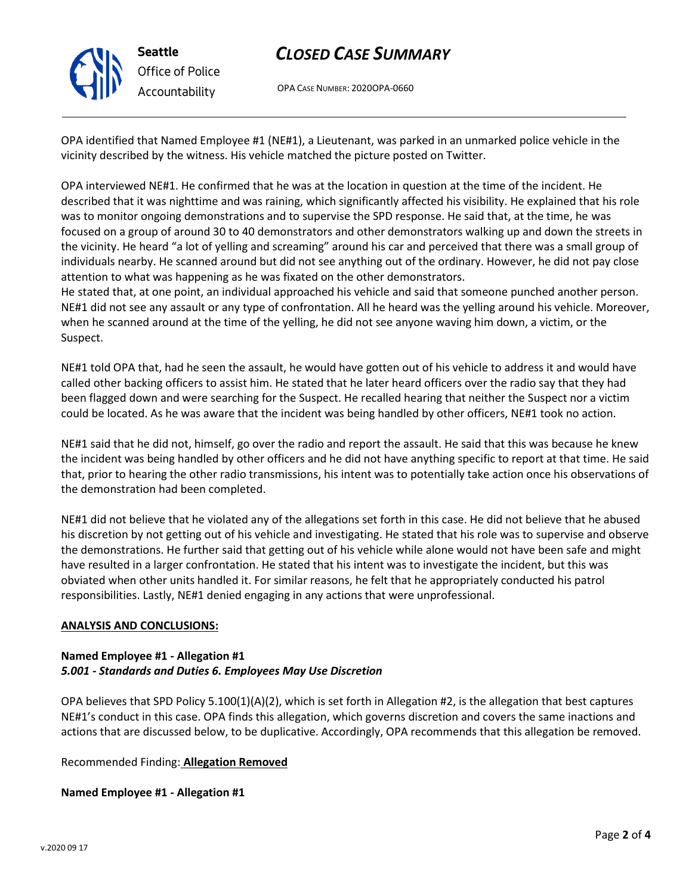

## *CLOSED CASE SUMMARY*

OPA CASE NUMBER: 2020OPA-0660

OPA identified that Named Employee #1 (NE#1), a Lieutenant, was parked in an unmarked police vehicle in the vicinity described by the witness. His vehicle matched the picture posted on Twitter.

OPA interviewed NE#1. He confirmed that he was at the location in question at the time of the incident. He described that it was nighttime and was raining, which significantly affected his visibility. He explained that his role was to monitor ongoing demonstrations and to supervise the SPD response. He said that, at the time, he was focused on a group of around 30 to 40 demonstrators and other demonstrators walking up and down the streets in the vicinity. He heard "a lot of yelling and screaming" around his car and perceived that there was a small group of individuals nearby. He scanned around but did not see anything out of the ordinary. However, he did not pay close attention to what was happening as he was fixated on the other demonstrators.

He stated that, at one point, an individual approached his vehicle and said that someone punched another person. NE#1 did not see any assault or any type of confrontation. All he heard was the yelling around his vehicle. Moreover, when he scanned around at the time of the yelling, he did not see anyone waving him down, a victim, or the Suspect.

NE#1 told OPA that, had he seen the assault, he would have gotten out of his vehicle to address it and would have called other backing officers to assist him. He stated that he later heard officers over the radio say that they had been flagged down and were searching for the Suspect. He recalled hearing that neither the Suspect nor a victim could be located. As he was aware that the incident was being handled by other officers, NE#1 took no action.

NE#1 said that he did not, himself, go over the radio and report the assault. He said that this was because he knew the incident was being handled by other officers and he did not have anything specific to report at that time. He said that, prior to hearing the other radio transmissions, his intent was to potentially take action once his observations of the demonstration had been completed.

NE#1 did not believe that he violated any of the allegations set forth in this case. He did not believe that he abused his discretion by not getting out of his vehicle and investigating. He stated that his role was to supervise and observe the demonstrations. He further said that getting out of his vehicle while alone would not have been safe and might have resulted in a larger confrontation. He stated that his intent was to investigate the incident, but this was obviated when other units handled it. For similar reasons, he felt that he appropriately conducted his patrol responsibilities. Lastly, NE#1 denied engaging in any actions that were unprofessional.

#### **ANALYSIS AND CONCLUSIONS:**

#### **Named Employee #1 - Allegation #1** *5.001 - Standards and Duties 6. Employees May Use Discretion*

OPA believes that SPD Policy  $5.100(1)(A)(2)$ , which is set forth in Allegation #2, is the allegation that best captures NE#1's conduct in this case. OPA finds this allegation, which governs discretion and covers the same inactions and actions that are discussed below, to be duplicative. Accordingly, OPA recommends that this allegation be removed.

Recommended Finding: **Allegation Removed**

**Named Employee #1 - Allegation #1**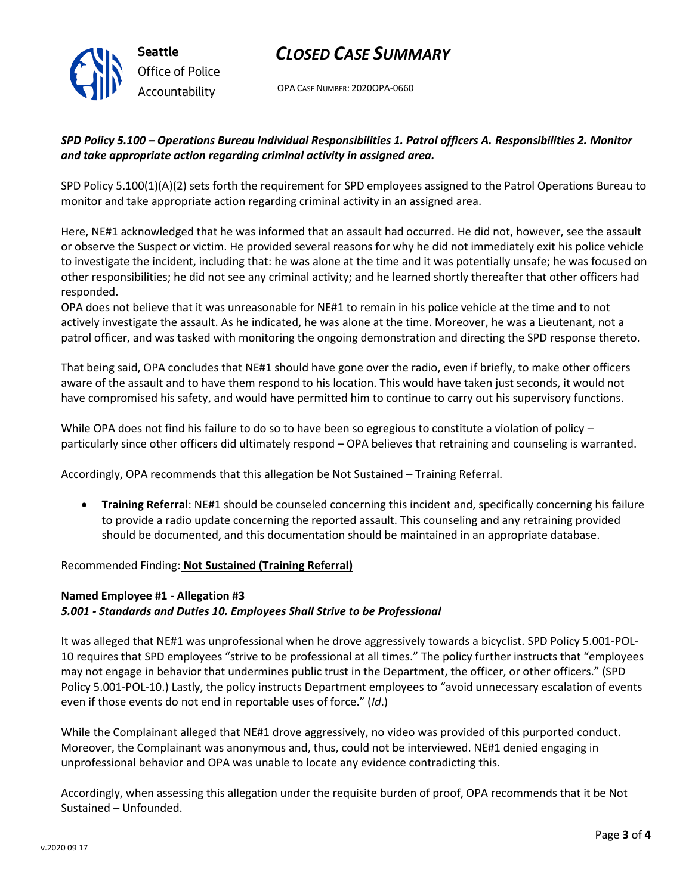

## *CLOSED CASE SUMMARY*

OPA CASE NUMBER: 2020OPA-0660

#### *SPD Policy 5.100 – Operations Bureau Individual Responsibilities 1. Patrol officers A. Responsibilities 2. Monitor and take appropriate action regarding criminal activity in assigned area.*

SPD Policy 5.100(1)(A)(2) sets forth the requirement for SPD employees assigned to the Patrol Operations Bureau to monitor and take appropriate action regarding criminal activity in an assigned area.

Here, NE#1 acknowledged that he was informed that an assault had occurred. He did not, however, see the assault or observe the Suspect or victim. He provided several reasons for why he did not immediately exit his police vehicle to investigate the incident, including that: he was alone at the time and it was potentially unsafe; he was focused on other responsibilities; he did not see any criminal activity; and he learned shortly thereafter that other officers had responded.

OPA does not believe that it was unreasonable for NE#1 to remain in his police vehicle at the time and to not actively investigate the assault. As he indicated, he was alone at the time. Moreover, he was a Lieutenant, not a patrol officer, and was tasked with monitoring the ongoing demonstration and directing the SPD response thereto.

That being said, OPA concludes that NE#1 should have gone over the radio, even if briefly, to make other officers aware of the assault and to have them respond to his location. This would have taken just seconds, it would not have compromised his safety, and would have permitted him to continue to carry out his supervisory functions.

While OPA does not find his failure to do so to have been so egregious to constitute a violation of policy – particularly since other officers did ultimately respond – OPA believes that retraining and counseling is warranted.

Accordingly, OPA recommends that this allegation be Not Sustained – Training Referral.

• **Training Referral**: NE#1 should be counseled concerning this incident and, specifically concerning his failure to provide a radio update concerning the reported assault. This counseling and any retraining provided should be documented, and this documentation should be maintained in an appropriate database.

Recommended Finding: **Not Sustained (Training Referral)**

### **Named Employee #1 - Allegation #3** *5.001 - Standards and Duties 10. Employees Shall Strive to be Professional*

It was alleged that NE#1 was unprofessional when he drove aggressively towards a bicyclist. SPD Policy 5.001-POL-10 requires that SPD employees "strive to be professional at all times." The policy further instructs that "employees may not engage in behavior that undermines public trust in the Department, the officer, or other officers." (SPD Policy 5.001-POL-10.) Lastly, the policy instructs Department employees to "avoid unnecessary escalation of events even if those events do not end in reportable uses of force." (*Id*.)

While the Complainant alleged that NE#1 drove aggressively, no video was provided of this purported conduct. Moreover, the Complainant was anonymous and, thus, could not be interviewed. NE#1 denied engaging in unprofessional behavior and OPA was unable to locate any evidence contradicting this.

Accordingly, when assessing this allegation under the requisite burden of proof, OPA recommends that it be Not Sustained – Unfounded.